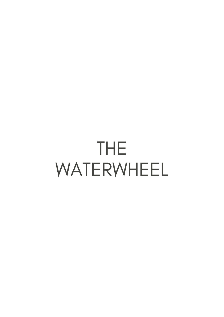## THE WATERWHEEL